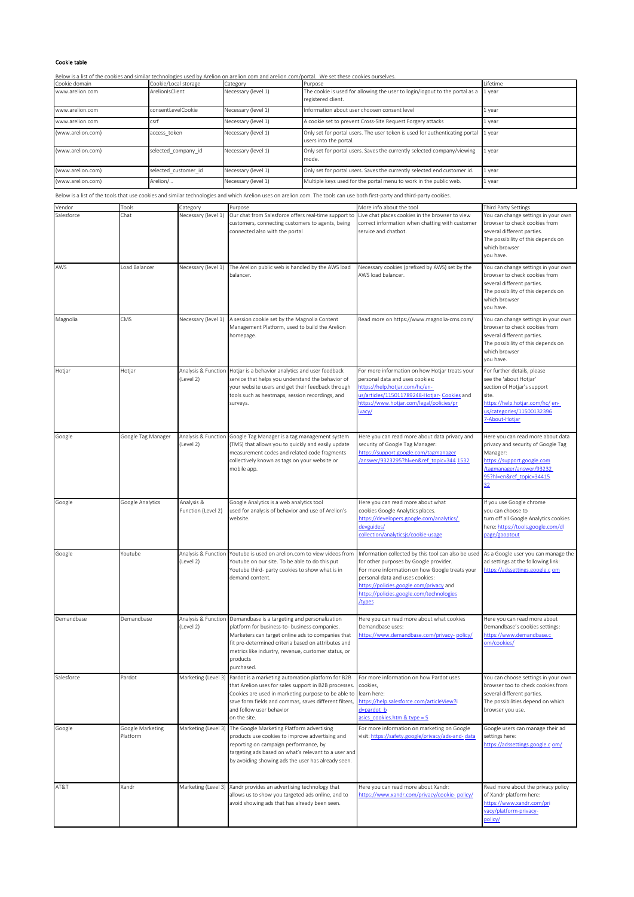## Cookie table

Below is a list of the cookies and similar technologies used by Arelion on arelion.com and arelion.com/portal. We set these cookies ourselves.

| Cookie domain     | Cookie/Local storage | Category            | Purpose                                                                                               | Lifetime |
|-------------------|----------------------|---------------------|-------------------------------------------------------------------------------------------------------|----------|
| www.arelion.com   | ArelionIsClient      | Necessary (level 1) | The cookie is used for allowing the user to login/logout to the portal as a<br>registered client.     | 1 year   |
| www.arelion.com   | consentLevelCookie   | Necessary (level 1) | Information about user choosen consent level                                                          | 1 year   |
| www.arelion.com   | lcsrf                | Necessary (level 1) | A cookie set to prevent Cross-Site Request Forgery attacks                                            | 1 year   |
| (www.arelion.com) | access token         | Necessary (level 1) | Only set for portal users. The user token is used for authenticating portal<br>users into the portal. | 1 year   |
| (www.arelion.com) | selected company id  | Necessary (level 1) | Only set for portal users. Saves the currently selected company/viewing<br>mode.                      | 1 year   |
| (www.arelion.com) | selected customer id | Necessary (level 1) | Only set for portal users. Saves the currently selected end customer id.                              | 1 year   |
| (www.arelion.com) | Arelion/             | Necessary (level 1) | Multiple keys used for the portal menu to work in the public web.                                     | 1 year   |

Below is a list of the tools that use cookies and similar technologies and which Arelion uses on arelion.com. The tools can use both first-party and third-party cookies.

| Vendor     | Tools                        | Category                         | Purpose                                                                                                                                                                                                                                                                                     | More info about the tool                                                                                                                                                                                                                                                            | Third Party Settings                                                                                                                                                                        |
|------------|------------------------------|----------------------------------|---------------------------------------------------------------------------------------------------------------------------------------------------------------------------------------------------------------------------------------------------------------------------------------------|-------------------------------------------------------------------------------------------------------------------------------------------------------------------------------------------------------------------------------------------------------------------------------------|---------------------------------------------------------------------------------------------------------------------------------------------------------------------------------------------|
| Salesforce | Chat                         | Necessary (level 1)              | Our chat from Salesforce offers real-time support to<br>customers, connecting customers to agents, being<br>connected also with the portal                                                                                                                                                  | Live chat places cookies in the browser to view<br>correct information when chatting with customer<br>service and chatbot.                                                                                                                                                          | You can change settings in your own<br>browser to check cookies from<br>several different parties.<br>The possibility of this depends on<br>which browser<br>you have.                      |
| AWS        | Load Balancer                | Necessary (level 1)              | The Arelion public web is handled by the AWS load<br>balancer.                                                                                                                                                                                                                              | Necessary cookies (prefixed by AWS) set by the<br>AWS load balancer.                                                                                                                                                                                                                | You can change settings in your own<br>browser to check cookies from<br>several different parties.<br>The possibility of this depends on<br>which browser<br>you have.                      |
| Magnolia   | CMS                          | Necessary (level 1)              | A session cookie set by the Magnolia Content<br>Management Platform, used to build the Arelion<br>homepage.                                                                                                                                                                                 | Read more on https://www.magnolia-cms.com/                                                                                                                                                                                                                                          | You can change settings in your own<br>browser to check cookies from<br>several different parties.<br>The possibility of this depends on<br>which browser<br>you have.                      |
| Hotjar     | Hotjar                       | Analysis & Function<br>(Level 2) | Hotjar is a behavior analytics and user feedback<br>service that helps you understand the behavior of<br>your website users and get their feedback through<br>tools such as heatmaps, session recordings, and<br>surveys.                                                                   | For more information on how Hotjar treats your<br>personal data and uses cookies:<br>https://help.hotjar.com/hc/en-<br>us/articles/115011789248-Hotjar- Cookies and<br>https://www.hotjar.com/legal/policies/pr<br>vacy/                                                            | For further details, please<br>see the 'about Hotjar'<br>section of Hotjar's support<br>site.<br>https://help.hotjar.com/hc/en-<br>us/categories/11500132396<br>7-About-Hotjar              |
| Google     | Google Tag Manager           | Analysis & Function<br>(Level 2) | Google Tag Manager is a tag management system<br>(TMS) that allows you to quickly and easily update<br>measurement codes and related code fragments<br>collectively known as tags on your website or<br>mobile app.                                                                         | Here you can read more about data privacy and<br>security of Google Tag Manager:<br>https://support.google.com/tagmanager<br>/answer/9323295?hl=en&ref_topic=344 1532                                                                                                               | Here you can read more about data<br>privacy and security of Google Tag<br>Manager:<br>https://support.google.com<br>tagmanager/answer/93232<br>95?hl=en&ref_topic=34415<br>32 <sub>2</sub> |
| Google     | Google Analytics             | Analysis &<br>Function (Level 2) | Google Analytics is a web analytics tool<br>used for analysis of behavior and use of Arelion's<br>website.                                                                                                                                                                                  | Here you can read more about what<br>cookies Google Analytics places.<br>https://developers.google.com/analytics/<br>devguides/<br>collection/analyticsjs/cookie-usage                                                                                                              | If you use Google chrome<br>you can choose to<br>turn off all Google Analytics cookies<br>here: https://tools.google.com/dl<br>page/gaoptout                                                |
| Google     | Youtube                      | Analysis & Function<br>(Level 2) | Youtube is used on arelion.com to view videos from<br>Youtube on our site. To be able to do this put<br>Youtube third- party cookies to show what is in<br>demand content.                                                                                                                  | Information collected by this tool can also be used<br>for other purposes by Google provider.<br>For more information on how Google treats your<br>personal data and uses cookies:<br>https://policies.google.com/privacy and<br>https://policies.google.com/technologies<br>/types | As a Google user you can manage the<br>ad settings at the following link:<br>https://adssettings.google.c om                                                                                |
| Demandbase | Demandbase                   | Analysis & Function<br>(Level 2) | Demandbase is a targeting and personalization<br>platform for business-to- business companies.<br>Marketers can target online ads to companies that<br>fit pre-determined criteria based on attributes and<br>metrics like industry, revenue, customer status, or<br>products<br>purchased. | Here you can read more about what cookies<br>Demandbase uses:<br>https://www.demandbase.com/privacy-policy/                                                                                                                                                                         | Here you can read more about<br>Demandbase's cookies settings:<br>https://www.demandbase.c<br>om/cookies/                                                                                   |
| Salesforce | Pardot                       |                                  | Marketing (Level 3) Pardot is a marketing automation platform for B2B<br>that Arelion uses for sales support in B2B processes.<br>Cookies are used in marketing purpose to be able to<br>save form fields and commas, saves different filters,<br>and follow user behavior<br>on the site.  | For more information on how Pardot uses<br>cookies,<br>learn here:<br>https://help.salesforce.com/articleView?i<br>d=pardot_b<br>asics cookies.htm & type = 5                                                                                                                       | You can choose settings in your own<br>browser too to check cookies from<br>several different parties.<br>The possibilities depend on which<br>browser you use.                             |
| Google     | Google Marketing<br>Platform | Marketing (Level 3)              | The Google Marketing Platform advertising<br>products use cookies to improve advertising and<br>reporting on campaign performance, by<br>targeting ads based on what's relevant to a user and<br>by avoiding showing ads the user has already seen.                                         | For more information on marketing on Google<br>visit: https://safety.google/privacy/ads-and- data                                                                                                                                                                                   | Google users can manage their ad<br>settings here:<br>https://adssettings.google.c om/                                                                                                      |
| AT&T       | Xandr                        | Marketing (Level 3)              | Xandr provides an advertising technology that<br>allows us to show you targeted ads online, and to<br>avoid showing ads that has already been seen.                                                                                                                                         | Here you can read more about Xandr:<br>https://www.xandr.com/privacy/cookie-policy/                                                                                                                                                                                                 | Read more about the privacy policy<br>of Xandr platform here:<br>https://www.xandr.com/pri<br>vacy/platform-privacy-<br>policy/                                                             |